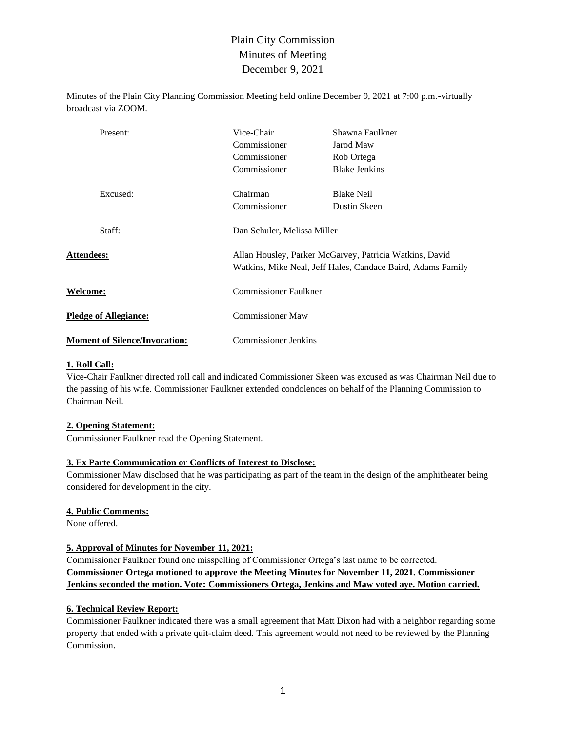Minutes of the Plain City Planning Commission Meeting held online December 9, 2021 at 7:00 p.m.-virtually broadcast via ZOOM.

| Present:                             | Vice-Chair<br>Commissioner<br>Commissioner<br>Commissioner | Shawna Faulkner<br>Jarod Maw<br>Rob Ortega<br><b>Blake Jenkins</b>                                                     |  |  |  |  |
|--------------------------------------|------------------------------------------------------------|------------------------------------------------------------------------------------------------------------------------|--|--|--|--|
| Excused:                             | Chairman<br>Commissioner                                   | <b>Blake Neil</b><br>Dustin Skeen                                                                                      |  |  |  |  |
| Staff:                               |                                                            | Dan Schuler, Melissa Miller                                                                                            |  |  |  |  |
| <b>Attendees:</b>                    |                                                            | Allan Housley, Parker McGarvey, Patricia Watkins, David<br>Watkins, Mike Neal, Jeff Hales, Candace Baird, Adams Family |  |  |  |  |
| <b>Welcome:</b>                      |                                                            | <b>Commissioner Faulkner</b>                                                                                           |  |  |  |  |
| <b>Pledge of Allegiance:</b>         |                                                            | Commissioner Maw                                                                                                       |  |  |  |  |
| <b>Moment of Silence/Invocation:</b> |                                                            | <b>Commissioner Jenkins</b>                                                                                            |  |  |  |  |

#### **1. Roll Call:**

Vice-Chair Faulkner directed roll call and indicated Commissioner Skeen was excused as was Chairman Neil due to the passing of his wife. Commissioner Faulkner extended condolences on behalf of the Planning Commission to Chairman Neil.

#### **2. Opening Statement:**

Commissioner Faulkner read the Opening Statement.

### **3. Ex Parte Communication or Conflicts of Interest to Disclose:**

Commissioner Maw disclosed that he was participating as part of the team in the design of the amphitheater being considered for development in the city.

#### **4. Public Comments:**

None offered.

#### **5. Approval of Minutes for November 11, 2021:**

Commissioner Faulkner found one misspelling of Commissioner Ortega's last name to be corrected. **Commissioner Ortega motioned to approve the Meeting Minutes for November 11, 2021. Commissioner Jenkins seconded the motion. Vote: Commissioners Ortega, Jenkins and Maw voted aye. Motion carried.**

#### **6. Technical Review Report:**

Commissioner Faulkner indicated there was a small agreement that Matt Dixon had with a neighbor regarding some property that ended with a private quit-claim deed. This agreement would not need to be reviewed by the Planning Commission.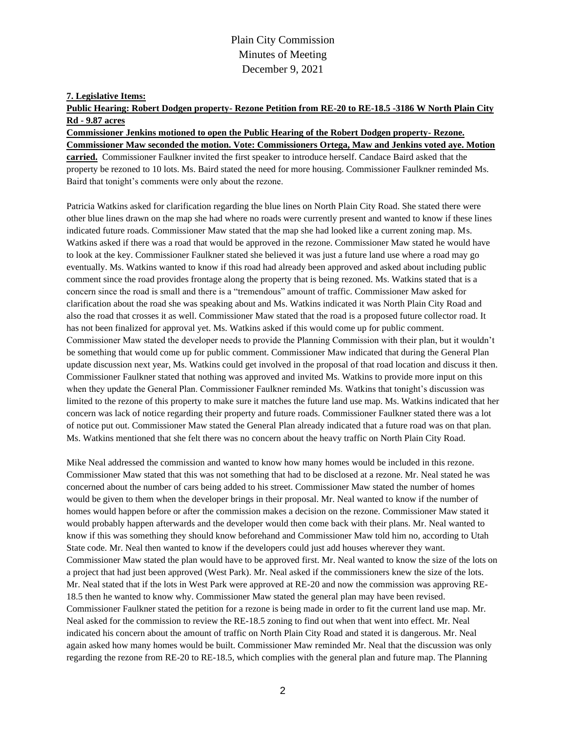#### **7. Legislative Items:**

**Public Hearing: Robert Dodgen property- Rezone Petition from RE-20 to RE-18.5 -3186 W North Plain City Rd - 9.87 acres**

#### **Commissioner Jenkins motioned to open the Public Hearing of the Robert Dodgen property- Rezone. Commissioner Maw seconded the motion. Vote: Commissioners Ortega, Maw and Jenkins voted aye. Motion**

**carried.** Commissioner Faulkner invited the first speaker to introduce herself. Candace Baird asked that the property be rezoned to 10 lots. Ms. Baird stated the need for more housing. Commissioner Faulkner reminded Ms. Baird that tonight's comments were only about the rezone.

Patricia Watkins asked for clarification regarding the blue lines on North Plain City Road. She stated there were other blue lines drawn on the map she had where no roads were currently present and wanted to know if these lines indicated future roads. Commissioner Maw stated that the map she had looked like a current zoning map. Ms. Watkins asked if there was a road that would be approved in the rezone. Commissioner Maw stated he would have to look at the key. Commissioner Faulkner stated she believed it was just a future land use where a road may go eventually. Ms. Watkins wanted to know if this road had already been approved and asked about including public comment since the road provides frontage along the property that is being rezoned. Ms. Watkins stated that is a concern since the road is small and there is a "tremendous" amount of traffic. Commissioner Maw asked for clarification about the road she was speaking about and Ms. Watkins indicated it was North Plain City Road and also the road that crosses it as well. Commissioner Maw stated that the road is a proposed future collector road. It has not been finalized for approval yet. Ms. Watkins asked if this would come up for public comment. Commissioner Maw stated the developer needs to provide the Planning Commission with their plan, but it wouldn't be something that would come up for public comment. Commissioner Maw indicated that during the General Plan update discussion next year, Ms. Watkins could get involved in the proposal of that road location and discuss it then. Commissioner Faulkner stated that nothing was approved and invited Ms. Watkins to provide more input on this when they update the General Plan. Commissioner Faulkner reminded Ms. Watkins that tonight's discussion was limited to the rezone of this property to make sure it matches the future land use map. Ms. Watkins indicated that her concern was lack of notice regarding their property and future roads. Commissioner Faulkner stated there was a lot of notice put out. Commissioner Maw stated the General Plan already indicated that a future road was on that plan. Ms. Watkins mentioned that she felt there was no concern about the heavy traffic on North Plain City Road.

Mike Neal addressed the commission and wanted to know how many homes would be included in this rezone. Commissioner Maw stated that this was not something that had to be disclosed at a rezone. Mr. Neal stated he was concerned about the number of cars being added to his street. Commissioner Maw stated the number of homes would be given to them when the developer brings in their proposal. Mr. Neal wanted to know if the number of homes would happen before or after the commission makes a decision on the rezone. Commissioner Maw stated it would probably happen afterwards and the developer would then come back with their plans. Mr. Neal wanted to know if this was something they should know beforehand and Commissioner Maw told him no, according to Utah State code. Mr. Neal then wanted to know if the developers could just add houses wherever they want. Commissioner Maw stated the plan would have to be approved first. Mr. Neal wanted to know the size of the lots on a project that had just been approved (West Park). Mr. Neal asked if the commissioners knew the size of the lots. Mr. Neal stated that if the lots in West Park were approved at RE-20 and now the commission was approving RE-18.5 then he wanted to know why. Commissioner Maw stated the general plan may have been revised. Commissioner Faulkner stated the petition for a rezone is being made in order to fit the current land use map. Mr. Neal asked for the commission to review the RE-18.5 zoning to find out when that went into effect. Mr. Neal indicated his concern about the amount of traffic on North Plain City Road and stated it is dangerous. Mr. Neal again asked how many homes would be built. Commissioner Maw reminded Mr. Neal that the discussion was only regarding the rezone from RE-20 to RE-18.5, which complies with the general plan and future map. The Planning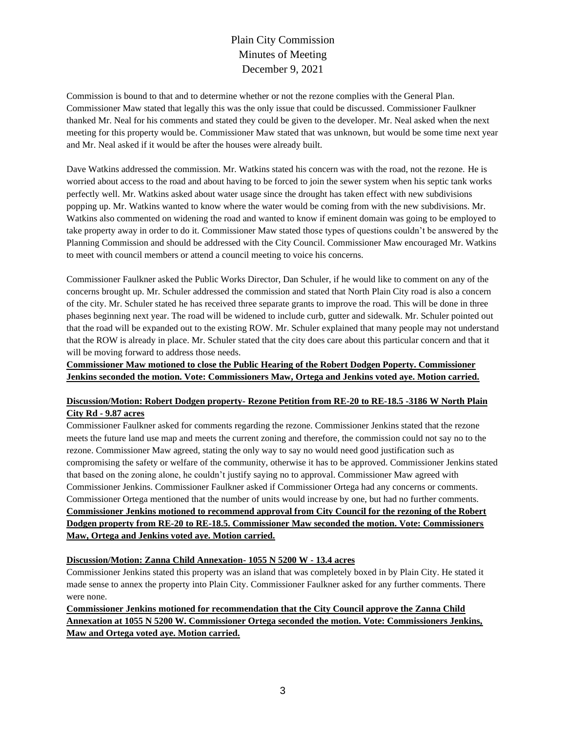Commission is bound to that and to determine whether or not the rezone complies with the General Plan. Commissioner Maw stated that legally this was the only issue that could be discussed. Commissioner Faulkner thanked Mr. Neal for his comments and stated they could be given to the developer. Mr. Neal asked when the next meeting for this property would be. Commissioner Maw stated that was unknown, but would be some time next year and Mr. Neal asked if it would be after the houses were already built.

Dave Watkins addressed the commission. Mr. Watkins stated his concern was with the road, not the rezone. He is worried about access to the road and about having to be forced to join the sewer system when his septic tank works perfectly well. Mr. Watkins asked about water usage since the drought has taken effect with new subdivisions popping up. Mr. Watkins wanted to know where the water would be coming from with the new subdivisions. Mr. Watkins also commented on widening the road and wanted to know if eminent domain was going to be employed to take property away in order to do it. Commissioner Maw stated those types of questions couldn't be answered by the Planning Commission and should be addressed with the City Council. Commissioner Maw encouraged Mr. Watkins to meet with council members or attend a council meeting to voice his concerns.

Commissioner Faulkner asked the Public Works Director, Dan Schuler, if he would like to comment on any of the concerns brought up. Mr. Schuler addressed the commission and stated that North Plain City road is also a concern of the city. Mr. Schuler stated he has received three separate grants to improve the road. This will be done in three phases beginning next year. The road will be widened to include curb, gutter and sidewalk. Mr. Schuler pointed out that the road will be expanded out to the existing ROW. Mr. Schuler explained that many people may not understand that the ROW is already in place. Mr. Schuler stated that the city does care about this particular concern and that it will be moving forward to address those needs.

### **Commissioner Maw motioned to close the Public Hearing of the Robert Dodgen Poperty. Commissioner Jenkins seconded the motion. Vote: Commissioners Maw, Ortega and Jenkins voted aye. Motion carried.**

# **Discussion/Motion: Robert Dodgen property- Rezone Petition from RE-20 to RE-18.5 -3186 W North Plain City Rd - 9.87 acres**

Commissioner Faulkner asked for comments regarding the rezone. Commissioner Jenkins stated that the rezone meets the future land use map and meets the current zoning and therefore, the commission could not say no to the rezone. Commissioner Maw agreed, stating the only way to say no would need good justification such as compromising the safety or welfare of the community, otherwise it has to be approved. Commissioner Jenkins stated that based on the zoning alone, he couldn't justify saying no to approval. Commissioner Maw agreed with Commissioner Jenkins. Commissioner Faulkner asked if Commissioner Ortega had any concerns or comments. Commissioner Ortega mentioned that the number of units would increase by one, but had no further comments. **Commissioner Jenkins motioned to recommend approval from City Council for the rezoning of the Robert Dodgen property from RE-20 to RE-18.5. Commissioner Maw seconded the motion. Vote: Commissioners Maw, Ortega and Jenkins voted aye. Motion carried.**

#### **Discussion/Motion: Zanna Child Annexation- 1055 N 5200 W - 13.4 acres**

Commissioner Jenkins stated this property was an island that was completely boxed in by Plain City. He stated it made sense to annex the property into Plain City. Commissioner Faulkner asked for any further comments. There were none.

# **Commissioner Jenkins motioned for recommendation that the City Council approve the Zanna Child Annexation at 1055 N 5200 W. Commissioner Ortega seconded the motion. Vote: Commissioners Jenkins, Maw and Ortega voted aye. Motion carried.**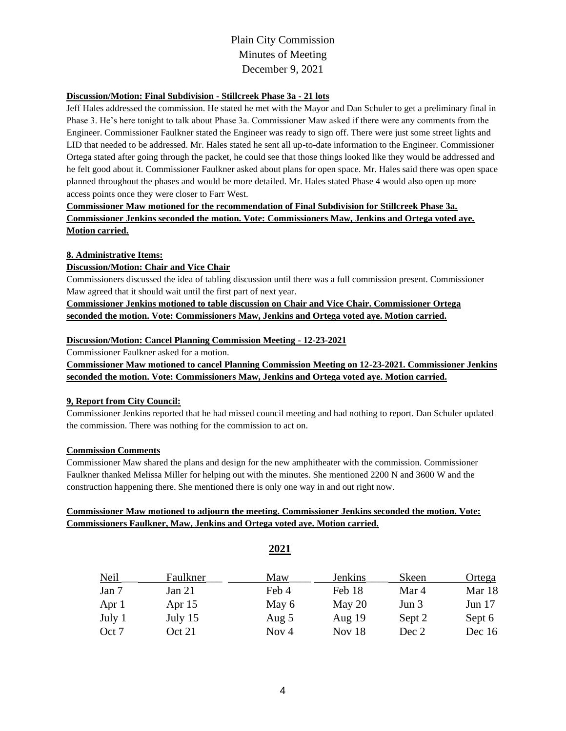### **Discussion/Motion: Final Subdivision - Stillcreek Phase 3a - 21 lots**

Jeff Hales addressed the commission. He stated he met with the Mayor and Dan Schuler to get a preliminary final in Phase 3. He's here tonight to talk about Phase 3a. Commissioner Maw asked if there were any comments from the Engineer. Commissioner Faulkner stated the Engineer was ready to sign off. There were just some street lights and LID that needed to be addressed. Mr. Hales stated he sent all up-to-date information to the Engineer. Commissioner Ortega stated after going through the packet, he could see that those things looked like they would be addressed and he felt good about it. Commissioner Faulkner asked about plans for open space. Mr. Hales said there was open space planned throughout the phases and would be more detailed. Mr. Hales stated Phase 4 would also open up more access points once they were closer to Farr West.

# **Commissioner Maw motioned for the recommendation of Final Subdivision for Stillcreek Phase 3a. Commissioner Jenkins seconded the motion. Vote: Commissioners Maw, Jenkins and Ortega voted aye. Motion carried.**

#### **8. Administrative Items:**

### **Discussion/Motion: Chair and Vice Chair**

Commissioners discussed the idea of tabling discussion until there was a full commission present. Commissioner Maw agreed that it should wait until the first part of next year.

**Commissioner Jenkins motioned to table discussion on Chair and Vice Chair. Commissioner Ortega seconded the motion. Vote: Commissioners Maw, Jenkins and Ortega voted aye. Motion carried.**

### **Discussion/Motion: Cancel Planning Commission Meeting - 12-23-2021**

Commissioner Faulkner asked for a motion.

**Commissioner Maw motioned to cancel Planning Commission Meeting on 12-23-2021. Commissioner Jenkins seconded the motion. Vote: Commissioners Maw, Jenkins and Ortega voted aye. Motion carried.**

# **9, Report from City Council:**

Commissioner Jenkins reported that he had missed council meeting and had nothing to report. Dan Schuler updated the commission. There was nothing for the commission to act on.

#### **Commission Comments**

Commissioner Maw shared the plans and design for the new amphitheater with the commission. Commissioner Faulkner thanked Melissa Miller for helping out with the minutes. She mentioned 2200 N and 3600 W and the construction happening there. She mentioned there is only one way in and out right now.

# **Commissioner Maw motioned to adjourn the meeting. Commissioner Jenkins seconded the motion. Vote: Commissioners Faulkner, Maw, Jenkins and Ortega voted aye. Motion carried.**

|        |          | 2021    |                |         |          |  |
|--------|----------|---------|----------------|---------|----------|--|
| Neil   | Faulkner | Maw     | <b>Jenkins</b> | Skeen   | Ortega   |  |
| Jan 7  | Jan $21$ | Feb 4   | Feb 18         | Mar 4   | Mar 18   |  |
| Apr 1  | Apr $15$ | May 6   | May $20$       | Jun $3$ | Jun $17$ |  |
| July 1 | July 15  | Aug $5$ | Aug $19$       | Sept 2  | Sept 6   |  |
| Oct 7  | Oct 21   | Nov $4$ | Nov 18         | Dec 2   | Dec $16$ |  |